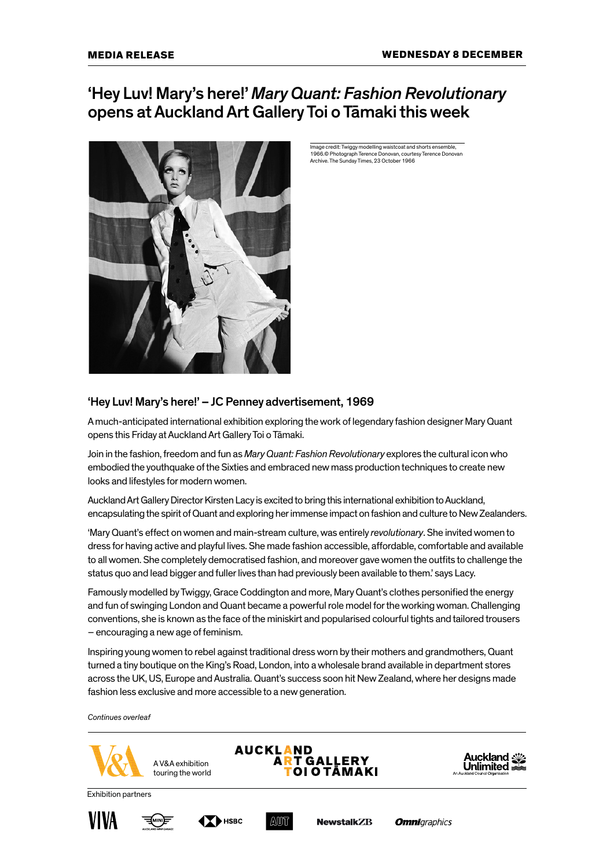# 'Hey Luv! Mary's here!' *Mary Quant: Fashion Revolutionary*  opens at Auckland Art Gallery Toi o Tāmaki this week



Image credit: Twiggy modelling waistcoat and shorts ensemble, 1966.© Photograph Terence Donovan, courtesy Terence Donovan Archive. The Sunday Times, 23 October 1966

## 'Hey Luv! Mary's here!' – JC Penney advertisement, 1969

A much-anticipated international exhibition exploring the work of legendary fashion designer Mary Quant opens this Friday at Auckland Art Gallery Toi o Tāmaki.

Join in the fashion, freedom and fun as *Mary Quant: Fashion Revolutionary* explores the cultural icon who embodied the youthquake of the Sixties and embraced new mass production techniques to create new looks and lifestyles for modern women.

Auckland Art Gallery Director Kirsten Lacy is excited to bring this international exhibition to Auckland, encapsulating the spirit of Quant and exploring her immense impact on fashion and culture to New Zealanders.

'Mary Quant's effect on women and main-stream culture, was entirely *revolutionary*. She invited women to dress for having active and playful lives. She made fashion accessible, affordable, comfortable and available to all women. She completely democratised fashion, and moreover gave women the outfits to challenge the status quo and lead bigger and fuller lives than had previously been available to them.' says Lacy.

Famously modelled by Twiggy, Grace Coddington and more, Mary Quant's clothes personified the energy and fun of swinging London and Quant became a powerful role model for the working woman. Challenging conventions, she is known as the face of the miniskirt and popularised colourful tights and tailored trousers – encouraging a new age of feminism.

Inspiring young women to rebel against traditional dress worn by their mothers and grandmothers, Quant turned a tiny boutique on the King's Road, London, into a wholesale brand available in department stores across the UK, US, Europe and Australia. Quant's success soon hit New Zealand, where her designs made fashion less exclusive and more accessible to a new generation.

*Continues overleaf*







Exhibition partners







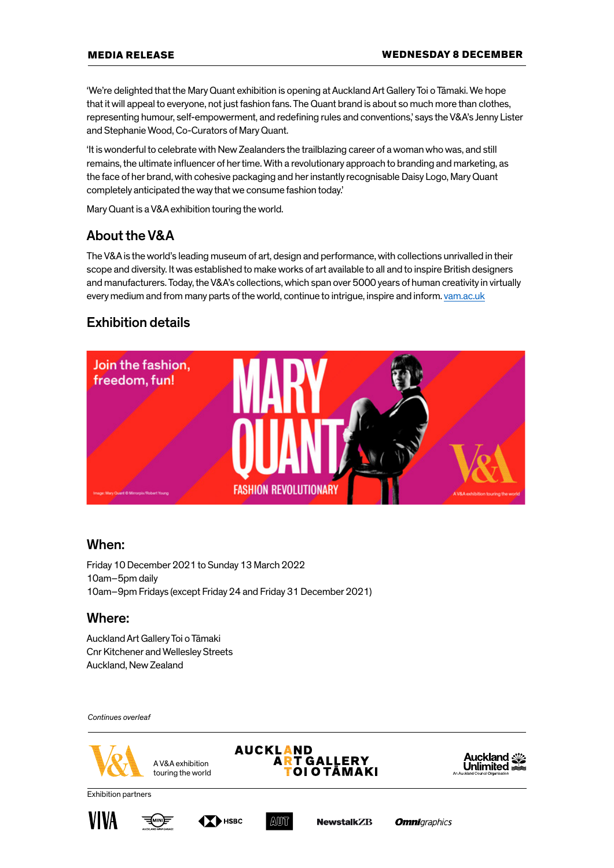'We're delighted that the Mary Quant exhibition is opening at Auckland Art Gallery Toi o Tāmaki. We hope that it will appeal to everyone, not just fashion fans. The Quant brand is about so much more than clothes, representing humour, self-empowerment, and redefining rules and conventions,' says the V&A's Jenny Lister and Stephanie Wood, Co-Curators of Mary Quant.

'It is wonderful to celebrate with New Zealanders the trailblazing career of a woman who was, and still remains, the ultimate influencer of her time. With a revolutionary approach to branding and marketing, as the face of her brand, with cohesive packaging and her instantly recognisable Daisy Logo, Mary Quant completely anticipated the way that we consume fashion today.'

Mary Quant is a V&A exhibition touring the world.

# About the V&A

The V&A is the world's leading museum of art, design and performance, with collections unrivalled in their scope and diversity. It was established to make works of art available to all and to inspire British designers and manufacturers. Today, the V&A's collections, which span over 5000 years of human creativity in virtually every medium and from many parts of the world, continue to intrigue, inspire and inform. [vam.ac.uk](https://www.vam.ac.uk/)

## Exhibition details



#### When:

Friday 10 December 2021 to Sunday 13 March 2022 10am–5pm daily 10am–9pm Fridays (except Friday 24 and Friday 31 December 2021)

### Where:

Auckland Art Gallery Toi o Tāmaki Cnr Kitchener and Wellesley Streets Auckland, New Zealand

*Continues overleaf*



**AUCKLAND ART GALLERY OI O TAMAKI** 



Exhibition partners







**Omni**araphics